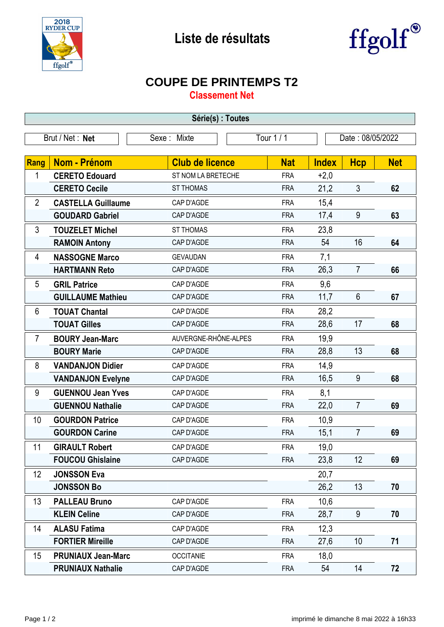



## **COUPE DE PRINTEMPS T2**

**Classement Net**

| Série(s) : Toutes |                           |                        |                  |              |                |            |  |  |  |
|-------------------|---------------------------|------------------------|------------------|--------------|----------------|------------|--|--|--|
|                   | Brut / Net: Net           | Tour 1 / 1             | Date: 08/05/2022 |              |                |            |  |  |  |
| Sexe: Mixte       |                           |                        |                  |              |                |            |  |  |  |
| Rang              | <b>Nom - Prénom</b>       | <b>Club de licence</b> | <b>Nat</b>       | <b>Index</b> | <b>Hcp</b>     | <b>Net</b> |  |  |  |
| 1                 | <b>CERETO Edouard</b>     | ST NOM LA BRETECHE     | <b>FRA</b>       | $+2,0$       |                |            |  |  |  |
|                   | <b>CERETO Cecile</b>      | <b>ST THOMAS</b>       | <b>FRA</b>       | 21,2         | $\mathfrak{Z}$ | 62         |  |  |  |
| $\overline{2}$    | <b>CASTELLA Guillaume</b> | CAP D'AGDE             | <b>FRA</b>       | 15,4         |                |            |  |  |  |
|                   | <b>GOUDARD Gabriel</b>    | CAP D'AGDE             | <b>FRA</b>       | 17,4         | 9              | 63         |  |  |  |
| 3                 | <b>TOUZELET Michel</b>    | <b>ST THOMAS</b>       | <b>FRA</b>       | 23,8         |                |            |  |  |  |
|                   | <b>RAMOIN Antony</b>      | CAP D'AGDE             | <b>FRA</b>       | 54           | 16             | 64         |  |  |  |
| 4                 | <b>NASSOGNE Marco</b>     | <b>GEVAUDAN</b>        | <b>FRA</b>       | 7,1          |                |            |  |  |  |
|                   | <b>HARTMANN Reto</b>      | CAP D'AGDE             | <b>FRA</b>       | 26,3         | $\overline{7}$ | 66         |  |  |  |
| 5                 | <b>GRIL Patrice</b>       | CAP D'AGDE             | <b>FRA</b>       | 9,6          |                |            |  |  |  |
|                   | <b>GUILLAUME Mathieu</b>  | CAP D'AGDE             | <b>FRA</b>       | 11,7         | $6\phantom{1}$ | 67         |  |  |  |
| 6                 | <b>TOUAT Chantal</b>      | CAP D'AGDE             | <b>FRA</b>       | 28,2         |                |            |  |  |  |
|                   | <b>TOUAT Gilles</b>       | CAP D'AGDE             | <b>FRA</b>       | 28,6         | 17             | 68         |  |  |  |
| $\overline{7}$    | <b>BOURY Jean-Marc</b>    | AUVERGNE-RHÔNE-ALPES   | <b>FRA</b>       | 19,9         |                |            |  |  |  |
|                   | <b>BOURY Marie</b>        | CAP D'AGDE             | <b>FRA</b>       | 28,8         | 13             | 68         |  |  |  |
| 8                 | <b>VANDANJON Didier</b>   | CAP D'AGDE             | <b>FRA</b>       | 14,9         |                |            |  |  |  |
|                   | <b>VANDANJON Evelyne</b>  | CAP D'AGDE             | <b>FRA</b>       | 16,5         | 9              | 68         |  |  |  |
| 9                 | <b>GUENNOU Jean Yves</b>  | CAP D'AGDE             | <b>FRA</b>       | 8,1          |                |            |  |  |  |
|                   | <b>GUENNOU Nathalie</b>   | CAP D'AGDE             | <b>FRA</b>       | 22,0         | $\overline{7}$ | 69         |  |  |  |
| 10                | <b>GOURDON Patrice</b>    | CAP D'AGDE             | <b>FRA</b>       | 10,9         |                |            |  |  |  |
|                   | <b>GOURDON Carine</b>     | CAP D'AGDE             | <b>FRA</b>       | 15,1         | $\overline{7}$ | 69         |  |  |  |
| 11                | <b>GIRAULT Robert</b>     | CAP D'AGDE             | <b>FRA</b>       | 19,0         |                |            |  |  |  |
|                   | <b>FOUCOU Ghislaine</b>   | CAP D'AGDE             | <b>FRA</b>       | 23,8         | 12             | 69         |  |  |  |
| 12                | <b>JONSSON Eva</b>        |                        |                  | 20,7         |                |            |  |  |  |
|                   | <b>JONSSON Bo</b>         |                        |                  | 26,2         | 13             | 70         |  |  |  |
| 13                | <b>PALLEAU Bruno</b>      | CAP D'AGDE             | <b>FRA</b>       | 10,6         |                |            |  |  |  |
|                   | <b>KLEIN Celine</b>       | CAP D'AGDE             | <b>FRA</b>       | 28,7         | 9              | 70         |  |  |  |
| 14                | <b>ALASU Fatima</b>       | CAP D'AGDE             | <b>FRA</b>       | 12,3         |                |            |  |  |  |
|                   | <b>FORTIER Mireille</b>   | CAP D'AGDE             | <b>FRA</b>       | 27,6         | 10             | 71         |  |  |  |
| 15                | <b>PRUNIAUX Jean-Marc</b> | <b>OCCITANIE</b>       | <b>FRA</b>       | 18,0         |                |            |  |  |  |
|                   | <b>PRUNIAUX Nathalie</b>  | CAP D'AGDE             | <b>FRA</b>       | 54           | 14             | 72         |  |  |  |